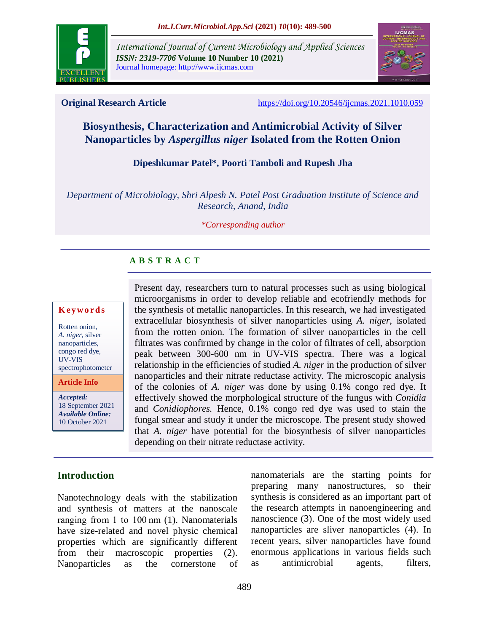

*International Journal of Current Microbiology and Applied Sciences ISSN: 2319-7706* **Volume 10 Number 10 (2021)**  Journal homepage: http://www.ijcmas.com



**Original Research Article** <https://doi.org/10.20546/ijcmas.2021.1010.059>

# **Biosynthesis, Characterization and Antimicrobial Activity of Silver Nanoparticles by** *Aspergillus niger* **Isolated from the Rotten Onion**

## **Dipeshkumar Patel\*, Poorti Tamboli and Rupesh Jha**

*Department of Microbiology, Shri Alpesh N. Patel Post Graduation Institute of Science and Research, Anand, India*

#### *\*Corresponding author*

# **A B S T R A C T**

#### **K ey w o rd s**

Rotten onion, *A. niger*, silver nanoparticles, congo red dye, UV-VIS spectrophotometer

**Article Info**

*Accepted:*  18 September 2021 *Available Online:* 10 October 2021

Present day, researchers turn to natural processes such as using biological microorganisms in order to develop reliable and ecofriendly methods for the synthesis of metallic nanoparticles. In this research, we had investigated extracellular biosynthesis of silver nanoparticles using *A. niger*, isolated from the rotten onion. The formation of silver nanoparticles in the cell filtrates was confirmed by change in the color of filtrates of cell, absorption peak between 300-600 nm in UV-VIS spectra. There was a logical relationship in the efficiencies of studied *A. niger* in the production of silver nanoparticles and their nitrate reductase activity. The microscopic analysis of the colonies of *A. niger* was done by using 0.1% congo red dye. It effectively showed the morphological structure of the fungus with *Conidia*  and *Conidiophores.* Hence, 0.1% congo red dye was used to stain the fungal smear and study it under the microscope. The present study showed that *A. niger* have potential for the biosynthesis of silver nanoparticles depending on their nitrate reductase activity.

## **Introduction**

Nanotechnology deals with the stabilization and synthesis of matters at the nanoscale ranging from 1 to 100 nm (1). Nanomaterials have size-related and novel physic chemical properties which are significantly different from their macroscopic properties (2). Nanoparticles as the cornerstone of nanomaterials are the starting points for preparing many nanostructures, so their synthesis is considered as an important part of the research attempts in nanoengineering and nanoscience (3). One of the most widely used nanoparticles are sliver nanoparticles (4). In recent years, silver nanoparticles have found enormous applications in various fields such as antimicrobial agents, filters,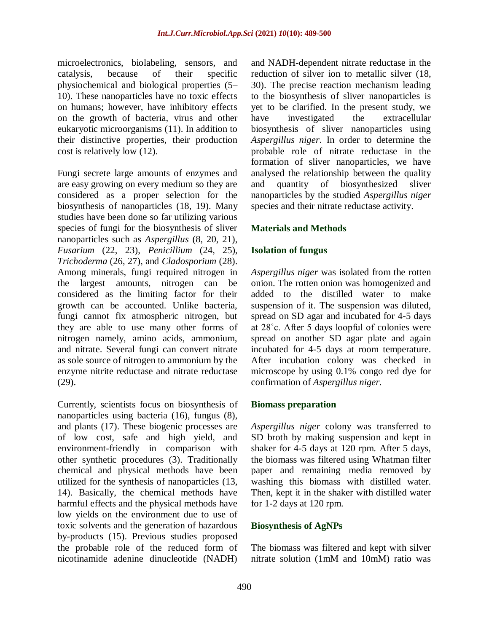microelectronics, biolabeling, sensors, and catalysis, because of their specific physiochemical and biological properties (5– 10). These nanoparticles have no toxic effects on humans; however, have inhibitory effects on the growth of bacteria, virus and other eukaryotic microorganisms (11). In addition to their distinctive properties, their production cost is relatively low (12).

Fungi secrete large amounts of enzymes and are easy growing on every medium so they are considered as a proper selection for the biosynthesis of nanoparticles (18, 19). Many studies have been done so far utilizing various species of fungi for the biosynthesis of sliver nanoparticles such as *Aspergillus* (8, 20, 21), *Fusarium* (22, 23), *Penicillium* (24, 25), *Trichoderma* (26, 27), and *Cladosporium* (28). Among minerals, fungi required nitrogen in the largest amounts, nitrogen can be considered as the limiting factor for their growth can be accounted. Unlike bacteria, fungi cannot fix atmospheric nitrogen, but they are able to use many other forms of nitrogen namely, amino acids, ammonium, and nitrate. Several fungi can convert nitrate as sole source of nitrogen to ammonium by the enzyme nitrite reductase and nitrate reductase (29).

Currently, scientists focus on biosynthesis of nanoparticles using bacteria (16), fungus (8), and plants (17). These biogenic processes are of low cost, safe and high yield, and environment-friendly in comparison with other synthetic procedures (3). Traditionally chemical and physical methods have been utilized for the synthesis of nanoparticles (13, 14). Basically, the chemical methods have harmful effects and the physical methods have low yields on the environment due to use of toxic solvents and the generation of hazardous by-products (15). Previous studies proposed the probable role of the reduced form of nicotinamide adenine dinucleotide (NADH)

and NADH-dependent nitrate reductase in the reduction of silver ion to metallic silver (18, 30). The precise reaction mechanism leading to the biosynthesis of sliver nanoparticles is yet to be clarified. In the present study, we have investigated the extracellular biosynthesis of sliver nanoparticles using *Aspergillus niger*. In order to determine the probable role of nitrate reductase in the formation of sliver nanoparticles, we have analysed the relationship between the quality and quantity of biosynthesized sliver nanoparticles by the studied *Aspergillus niger* species and their nitrate reductase activity.

# **Materials and Methods**

## **Isolation of fungus**

*Aspergillus niger* was isolated from the rotten onion. The rotten onion was homogenized and added to the distilled water to make suspension of it. The suspension was diluted, spread on SD agar and incubated for 4-5 days at 28˚c. After 5 days loopful of colonies were spread on another SD agar plate and again incubated for 4-5 days at room temperature. After incubation colony was checked in microscope by using 0.1% congo red dye for confirmation of *Aspergillus niger.*

## **Biomass preparation**

*Aspergillus niger* colony was transferred to SD broth by making suspension and kept in shaker for 4-5 days at 120 rpm. After 5 days, the biomass was filtered using Whatman filter paper and remaining media removed by washing this biomass with distilled water. Then, kept it in the shaker with distilled water for 1-2 days at 120 rpm.

#### **Biosynthesis of AgNPs**

The biomass was filtered and kept with silver nitrate solution (1mM and 10mM) ratio was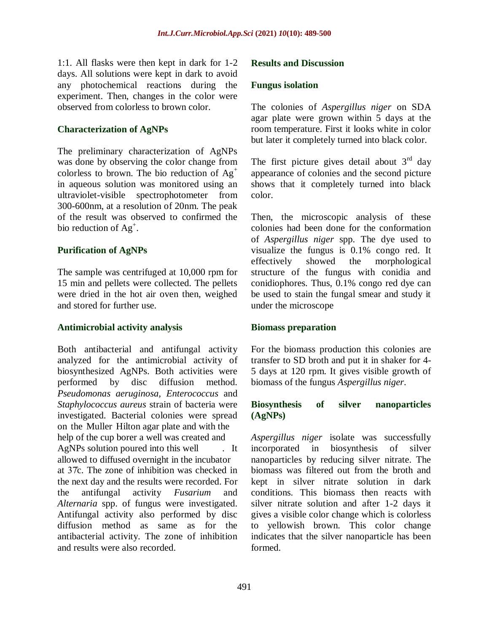1:1. All flasks were then kept in dark for 1-2 days. All solutions were kept in dark to avoid any photochemical reactions during the experiment. Then, changes in the color were observed from colorless to brown color.

# **Characterization of AgNPs**

The preliminary characterization of AgNPs was done by observing the color change from colorless to brown. The bio reduction of  $Ag^+$ in aqueous solution was monitored using an ultraviolet-visible spectrophotometer from 300-600nm, at a resolution of 20nm. The peak of the result was observed to confirmed the bio reduction of  $Ag^+$ .

# **Purification of AgNPs**

The sample was centrifuged at 10,000 rpm for 15 min and pellets were collected. The pellets were dried in the hot air oven then, weighed and stored for further use.

## **Antimicrobial activity analysis**

Both antibacterial and antifungal activity analyzed for the antimicrobial activity of biosynthesized AgNPs. Both activities were performed by disc diffusion method. *Pseudomonas aeruginosa, Enterococcus* and *Staphylococcus aureus* strain of bacteria were investigated. Bacterial colonies were spread on the Muller Hilton agar plate and with the help of the cup borer a well was created and AgNPs solution poured into this well . It allowed to diffused overnight in the incubator at  $37c$ . The zone of inhibition was checked in the next day and the results were recorded. For the antifungal activity *Fusarium* and *Alternaria* spp. of fungus were investigated. Antifungal activity also performed by disc diffusion method as same as for the antibacterial activity. The zone of inhibition and results were also recorded.

## **Results and Discussion**

#### **Fungus isolation**

The colonies of *Aspergillus niger* on SDA agar plate were grown within 5 days at the room temperature. First it looks white in color but later it completely turned into black color.

The first picture gives detail about  $3<sup>rd</sup>$  day appearance of colonies and the second picture shows that it completely turned into black color.

Then, the microscopic analysis of these colonies had been done for the conformation of *Aspergillus niger* spp. The dye used to visualize the fungus is 0.1% congo red. It effectively showed the morphological structure of the fungus with conidia and conidiophores. Thus, 0.1% congo red dye can be used to stain the fungal smear and study it under the microscope

#### **Biomass preparation**

For the biomass production this colonies are transfer to SD broth and put it in shaker for 4- 5 days at 120 rpm. It gives visible growth of biomass of the fungus *Aspergillus niger*.

## **Biosynthesis of silver nanoparticles (AgNPs)**

*Aspergillus niger* isolate was successfully incorporated in biosynthesis of silver nanoparticles by reducing silver nitrate. The biomass was filtered out from the broth and kept in silver nitrate solution in dark conditions. This biomass then reacts with silver nitrate solution and after 1-2 days it gives a visible color change which is colorless to yellowish brown. This color change indicates that the silver nanoparticle has been formed.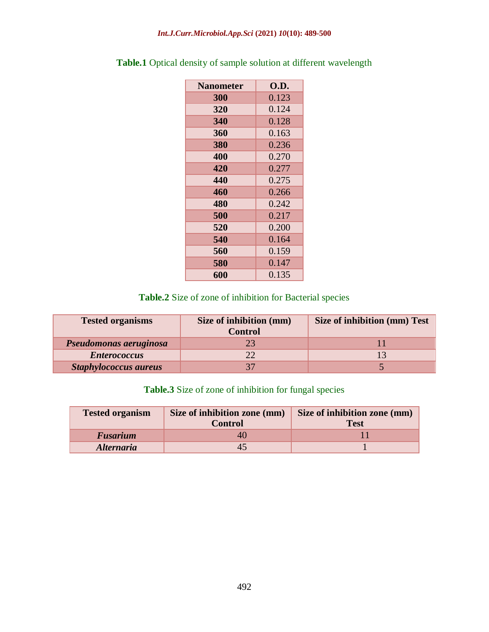#### *Int.J.Curr.Microbiol.App.Sci* **(2021)** *10***(10): 489-500**

| <b>Nanometer</b> | O.D.  |
|------------------|-------|
| 300              | 0.123 |
| 320              | 0.124 |
| 340              | 0.128 |
| 360              | 0.163 |
| 380              | 0.236 |
| 400              | 0.270 |
| 420              | 0.277 |
| 440              | 0.275 |
| 460              | 0.266 |
| 480              | 0.242 |
| 500              | 0.217 |
| 520              | 0.200 |
| 540              | 0.164 |
| 560              | 0.159 |
| 580              | 0.147 |
| 600              | 0.135 |

**Table.1** Optical density of sample solution at different wavelength

# **Table.2** Size of zone of inhibition for Bacterial species

| <b>Tested organisms</b>      | Size of inhibition (mm)<br><b>Control</b> | Size of inhibition (mm) Test |
|------------------------------|-------------------------------------------|------------------------------|
| Pseudomonas aeruginosa       | 23                                        |                              |
| <b>Enterococcus</b>          | 22                                        |                              |
| <b>Staphylococcus aureus</b> | 37                                        |                              |

# **Table.3** Size of zone of inhibition for fungal species

| <b>Tested organism</b>   | Size of inhibition zone (mm) | Size of inhibition zone (mm) |
|--------------------------|------------------------------|------------------------------|
|                          | <b>Control</b>               | <b>Test</b>                  |
| <b>Fusarium</b>          | 40                           |                              |
| <i><b>Alternaria</b></i> |                              |                              |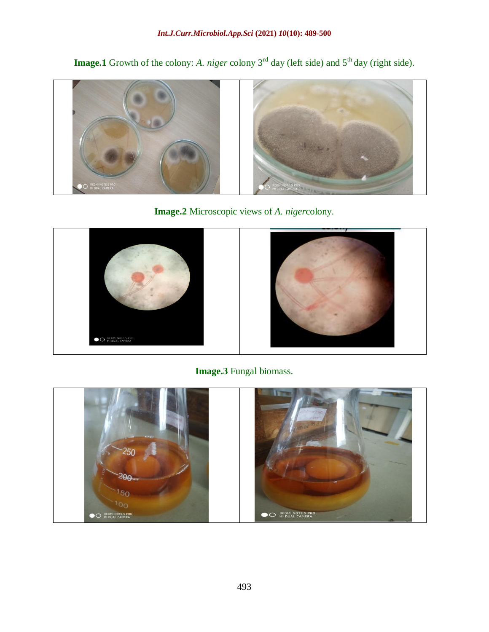**Image.1** Growth of the colony: *A. niger* colony 3<sup>rd</sup> day (left side) and 5<sup>th</sup> day (right side).



**Image.2** Microscopic views of *A. niger*colony.



**Image.3** Fungal biomass.

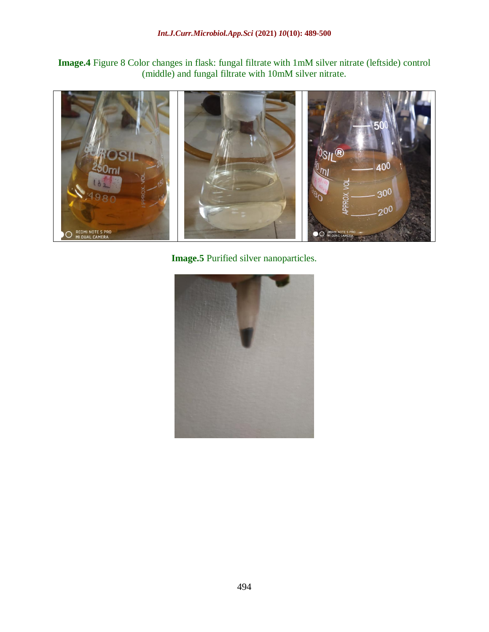**Image.4** Figure 8 Color changes in flask: fungal filtrate with 1mM silver nitrate (leftside) control (middle) and fungal filtrate with 10mM silver nitrate.



**Image.5** Purified silver nanoparticles.

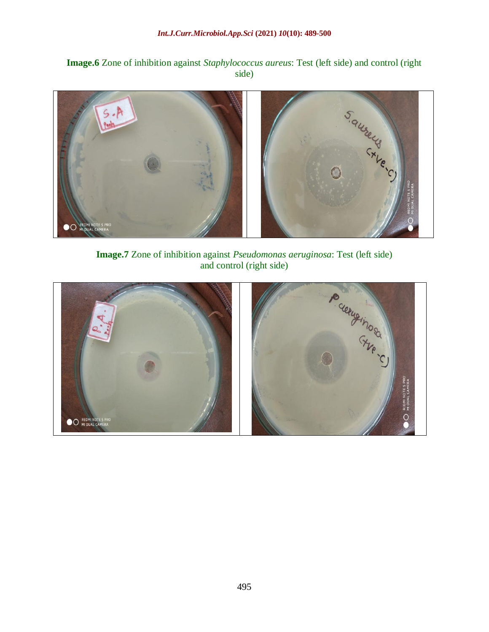**Image.6** Zone of inhibition against *Staphylococcus aureus*: Test (left side) and control (right side)



**Image.7** Zone of inhibition against *Pseudomonas aeruginosa*: Test (left side) and control (right side)

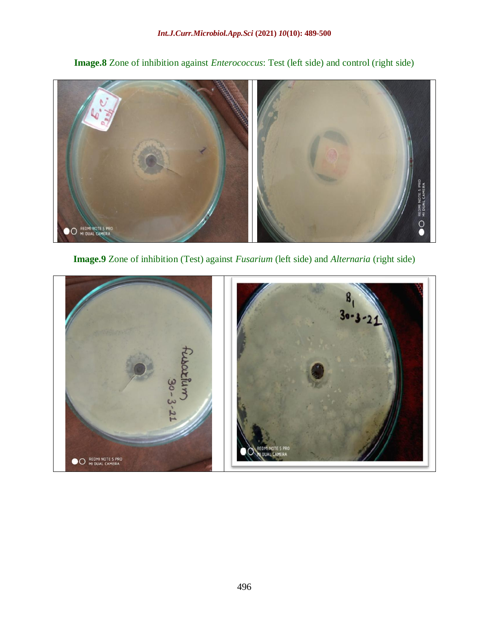

**Image.8** Zone of inhibition against *Enterococcus*: Test (left side) and control (right side)

**Image.9** Zone of inhibition (Test) against *Fusarium* (left side) and *Alternaria* (right side)

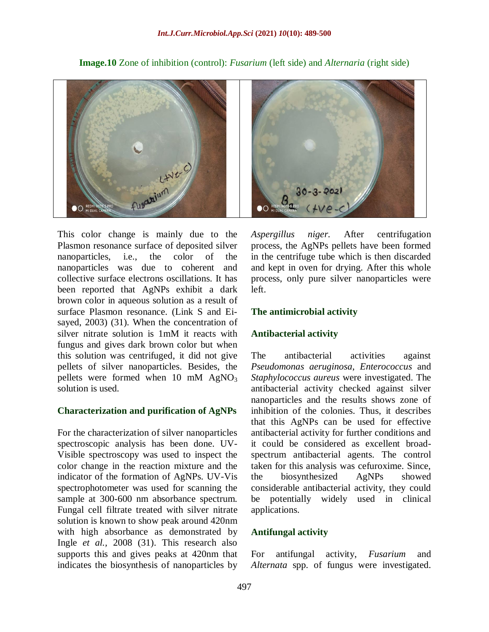

**Image.10** Zone of inhibition (control): *Fusarium* (left side) and *Alternaria* (right side)

This color change is mainly due to the Plasmon resonance surface of deposited silver nanoparticles, i.e., the color of the nanoparticles was due to coherent and collective surface electrons oscillations. It has been reported that AgNPs exhibit a dark brown color in aqueous solution as a result of surface Plasmon resonance. (Link S and Eisayed, 2003) (31). When the concentration of silver nitrate solution is 1mM it reacts with fungus and gives dark brown color but when this solution was centrifuged, it did not give pellets of silver nanoparticles. Besides, the pellets were formed when 10 mM  $AgNO<sub>3</sub>$ solution is used.

#### **Characterization and purification of AgNPs**

For the characterization of silver nanoparticles spectroscopic analysis has been done. UV-Visible spectroscopy was used to inspect the color change in the reaction mixture and the indicator of the formation of AgNPs. UV-Vis spectrophotometer was used for scanning the sample at 300-600 nm absorbance spectrum. Fungal cell filtrate treated with silver nitrate solution is known to show peak around 420nm with high absorbance as demonstrated by Ingle *et al.,* 2008 (31). This research also supports this and gives peaks at 420nm that indicates the biosynthesis of nanoparticles by



*Aspergillus niger.* After centrifugation process, the AgNPs pellets have been formed in the centrifuge tube which is then discarded and kept in oven for drying. After this whole process, only pure silver nanoparticles were left.

#### **The antimicrobial activity**

#### **Antibacterial activity**

The antibacterial activities against *Pseudomonas aeruginosa*, *Enterococcus* and *Staphylococcus aureus* were investigated. The antibacterial activity checked against silver nanoparticles and the results shows zone of inhibition of the colonies. Thus, it describes that this AgNPs can be used for effective antibacterial activity for further conditions and it could be considered as excellent broadspectrum antibacterial agents. The control taken for this analysis was cefuroxime. Since, the biosynthesized AgNPs showed considerable antibacterial activity, they could be potentially widely used in clinical applications.

#### **Antifungal activity**

For antifungal activity, *Fusarium* and *Alternata* spp. of fungus were investigated.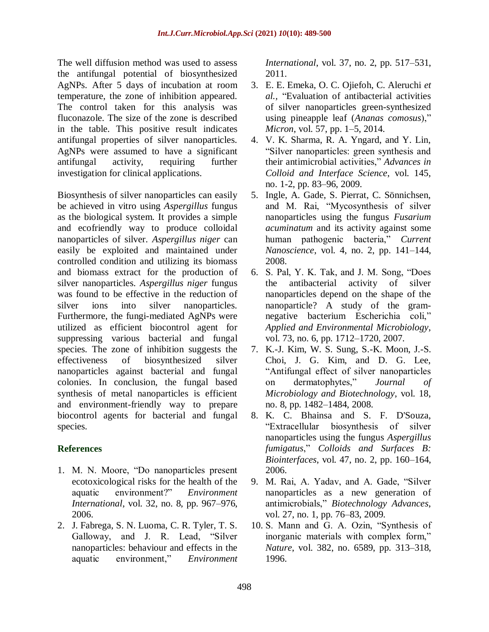The well diffusion method was used to assess the antifungal potential of biosynthesized AgNPs. After 5 days of incubation at room temperature, the zone of inhibition appeared. The control taken for this analysis was fluconazole. The size of the zone is described in the table. This positive result indicates antifungal properties of silver nanoparticles. AgNPs were assumed to have a significant antifungal activity, requiring further investigation for clinical applications.

Biosynthesis of silver nanoparticles can easily be achieved in vitro using *Aspergillus* fungus as the biological system. It provides a simple and ecofriendly way to produce colloidal nanoparticles of silver. *Aspergillus niger* can easily be exploited and maintained under controlled condition and utilizing its biomass and biomass extract for the production of silver nanoparticles. *Aspergillus niger* fungus was found to be effective in the reduction of silver ions into silver nanoparticles. Furthermore, the fungi-mediated AgNPs were utilized as efficient biocontrol agent for suppressing various bacterial and fungal species. The zone of inhibition suggests the effectiveness of biosynthesized silver nanoparticles against bacterial and fungal colonies. In conclusion, the fungal based synthesis of metal nanoparticles is efficient and environment-friendly way to prepare biocontrol agents for bacterial and fungal species.

# **References**

- 1. M. N. Moore, "Do nanoparticles present ecotoxicological risks for the health of the aquatic environment?" *Environment International*, vol. 32, no. 8, pp. 967–976, 2006.
- 2. J. Fabrega, S. N. Luoma, C. R. Tyler, T. S. Galloway, and J. R. Lead, "Silver nanoparticles: behaviour and effects in the aquatic environment," *Environment*

*International*, vol. 37, no. 2, pp. 517–531, 2011.

- 3. E. E. Emeka, O. C. Ojiefoh, C. Aleruchi *et al.,* "Evaluation of antibacterial activities of silver nanoparticles green-synthesized using pineapple leaf (*Ananas comosus*)," *Micron*, vol. 57, pp. 1–5, 2014.
- 4. V. K. Sharma, R. A. Yngard, and Y. Lin, "Silver nanoparticles: green synthesis and their antimicrobial activities," *Advances in Colloid and Interface Science*, vol. 145, no. 1-2, pp. 83–96, 2009.
- 5. Ingle, A. Gade, S. Pierrat, C. Sönnichsen, and M. Rai, "Mycosynthesis of silver nanoparticles using the fungus *Fusarium acuminatum* and its activity against some human pathogenic bacteria," *Current Nanoscience*, vol. 4, no. 2, pp. 141–144, 2008.
- 6. S. Pal, Y. K. Tak, and J. M. Song, "Does the antibacterial activity of silver nanoparticles depend on the shape of the nanoparticle? A study of the gramnegative bacterium Escherichia coli," *Applied and Environmental Microbiology*, vol. 73, no. 6, pp. 1712–1720, 2007.
- 7. K.-J. Kim, W. S. Sung, S.-K. Moon, J.-S. Choi, J. G. Kim, and D. G. Lee, "Antifungal effect of silver nanoparticles on dermatophytes," *Journal of Microbiology and Biotechnology*, vol. 18, no. 8, pp. 1482–1484, 2008.
- 8. K. C. Bhainsa and S. F. D'Souza, "Extracellular biosynthesis of silver nanoparticles using the fungus *Aspergillus fumigatus*," *Colloids and Surfaces B: Biointerfaces*, vol. 47, no. 2, pp. 160–164, 2006.
- 9. M. Rai, A. Yadav, and A. Gade, "Silver nanoparticles as a new generation of antimicrobials," *Biotechnology Advances*, vol. 27, no. 1, pp. 76–83, 2009.
- 10. S. Mann and G. A. Ozin, "Synthesis of inorganic materials with complex form," *Nature*, vol. 382, no. 6589, pp. 313–318, 1996.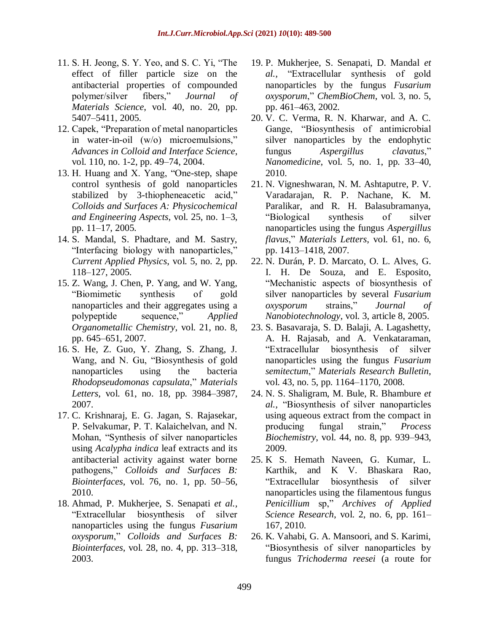- 11. S. H. Jeong, S. Y. Yeo, and S. C. Yi, "The effect of filler particle size on the antibacterial properties of compounded polymer/silver fibers," *Journal of Materials Science*, vol. 40, no. 20, pp. 5407–5411, 2005.
- 12. Capek, "Preparation of metal nanoparticles in water-in-oil (w/o) microemulsions," *Advances in Colloid and Interface Science*, vol. 110, no. 1-2, pp. 49–74, 2004.
- 13. H. Huang and X. Yang, "One-step, shape control synthesis of gold nanoparticles stabilized by 3-thiopheneacetic acid," *Colloids and Surfaces A: Physicochemical and Engineering Aspects*, vol. 25, no. 1–3, pp. 11–17, 2005.
- 14. S. Mandal, S. Phadtare, and M. Sastry, "Interfacing biology with nanoparticles," *Current Applied Physics*, vol. 5, no. 2, pp. 118–127, 2005.
- 15. Z. Wang, J. Chen, P. Yang, and W. Yang, "Biomimetic synthesis of gold nanoparticles and their aggregates using a polypeptide sequence," *Applied Organometallic Chemistry*, vol. 21, no. 8, pp. 645–651, 2007.
- 16. S. He, Z. Guo, Y. Zhang, S. Zhang, J. Wang, and N. Gu, "Biosynthesis of gold nanoparticles using the bacteria *Rhodopseudomonas capsulata*," *Materials Letters*, vol. 61, no. 18, pp. 3984–3987, 2007.
- 17. C. Krishnaraj, E. G. Jagan, S. Rajasekar, P. Selvakumar, P. T. Kalaichelvan, and N. Mohan, "Synthesis of silver nanoparticles using *Acalypha indica* leaf extracts and its antibacterial activity against water borne pathogens," *Colloids and Surfaces B: Biointerfaces*, vol. 76, no. 1, pp. 50–56, 2010.
- 18. Ahmad, P. Mukherjee, S. Senapati *et al.,* "Extracellular biosynthesis of silver nanoparticles using the fungus *Fusarium oxysporum*," *Colloids and Surfaces B: Biointerfaces*, vol. 28, no. 4, pp. 313–318, 2003.
- 19. P. Mukherjee, S. Senapati, D. Mandal *et al.,* "Extracellular synthesis of gold nanoparticles by the fungus *Fusarium oxysporum*," *ChemBioChem*, vol. 3, no. 5, pp. 461–463, 2002.
- 20. V. C. Verma, R. N. Kharwar, and A. C. Gange, "Biosynthesis of antimicrobial silver nanoparticles by the endophytic fungus *Aspergillus clavatus*," *Nanomedicine*, vol. 5, no. 1, pp. 33–40, 2010.
- 21. N. Vigneshwaran, N. M. Ashtaputre, P. V. Varadarajan, R. P. Nachane, K. M. Paralikar, and R. H. Balasubramanya, "Biological synthesis of silver nanoparticles using the fungus *Aspergillus flavus*," *Materials Letters*, vol. 61, no. 6, pp. 1413–1418, 2007.
- 22. N. Durán, P. D. Marcato, O. L. Alves, G. I. H. De Souza, and E. Esposito, "Mechanistic aspects of biosynthesis of silver nanoparticles by several *Fusarium oxysporum* strains," *Journal of Nanobiotechnology*, vol. 3, article 8, 2005.
- 23. S. Basavaraja, S. D. Balaji, A. Lagashetty, A. H. Rajasab, and A. Venkataraman, "Extracellular biosynthesis of silver nanoparticles using the fungus *Fusarium semitectum*," *Materials Research Bulletin*, vol. 43, no. 5, pp. 1164–1170, 2008.
- 24. N. S. Shaligram, M. Bule, R. Bhambure *et al.,* "Biosynthesis of silver nanoparticles using aqueous extract from the compact in producing fungal strain," *Process Biochemistry*, vol. 44, no. 8, pp. 939–943, 2009.
- 25. K S. Hemath Naveen, G. Kumar, L. Karthik, and K V. Bhaskara Rao, "Extracellular biosynthesis of silver nanoparticles using the filamentous fungus *Penicillium* sp," *Archives of Applied Science Research*, vol. 2, no. 6, pp. 161– 167, 2010.
- 26. K. Vahabi, G. A. Mansoori, and S. Karimi, "Biosynthesis of silver nanoparticles by fungus *Trichoderma reesei* (a route for